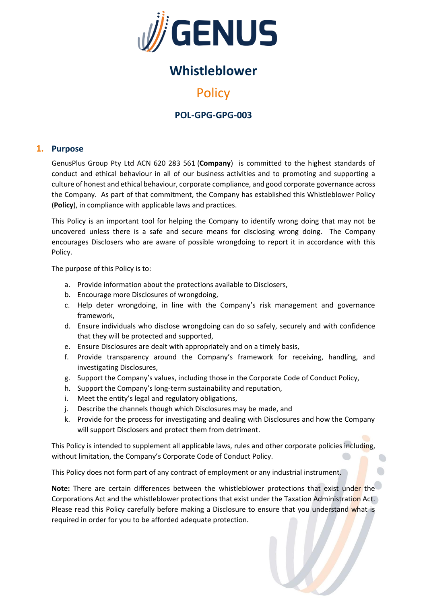

# **Whistleblower**

# **Policy**

# **POL-GPG-GPG-003**

## **1. Purpose**

GenusPlus Group Pty Ltd ACN 620 283 561 (**Company**) is committed to the highest standards of conduct and ethical behaviour in all of our business activities and to promoting and supporting a culture of honest and ethical behaviour, corporate compliance, and good corporate governance across the Company. As part of that commitment, the Company has established this Whistleblower Policy (**Policy**), in compliance with applicable laws and practices.

This Policy is an important tool for helping the Company to identify wrong doing that may not be uncovered unless there is a safe and secure means for disclosing wrong doing. The Company encourages Disclosers who are aware of possible wrongdoing to report it in accordance with this Policy.

The purpose of this Policy is to:

- a. Provide information about the protections available to Disclosers,
- b. Encourage more Disclosures of wrongdoing,
- c. Help deter wrongdoing, in line with the Company's risk management and governance framework,
- d. Ensure individuals who disclose wrongdoing can do so safely, securely and with confidence that they will be protected and supported,
- e. Ensure Disclosures are dealt with appropriately and on a timely basis,
- f. Provide transparency around the Company's framework for receiving, handling, and investigating Disclosures,
- g. Support the Company's values, including those in the Corporate Code of Conduct Policy,
- h. Support the Company's long-term sustainability and reputation,
- i. Meet the entity's legal and regulatory obligations,
- j. Describe the channels though which Disclosures may be made, and
- k. Provide for the process for investigating and dealing with Disclosures and how the Company will support Disclosers and protect them from detriment.

This Policy is intended to supplement all applicable laws, rules and other corporate policies including, without limitation, the Company's Corporate Code of Conduct Policy.

This Policy does not form part of any contract of employment or any industrial instrument.

**Note:** There are certain differences between the whistleblower protections that exist under the Corporations Act and the whistleblower protections that exist under the Taxation Administration Act. Please read this Policy carefully before making a Disclosure to ensure that you understand what is required in order for you to be afforded adequate protection.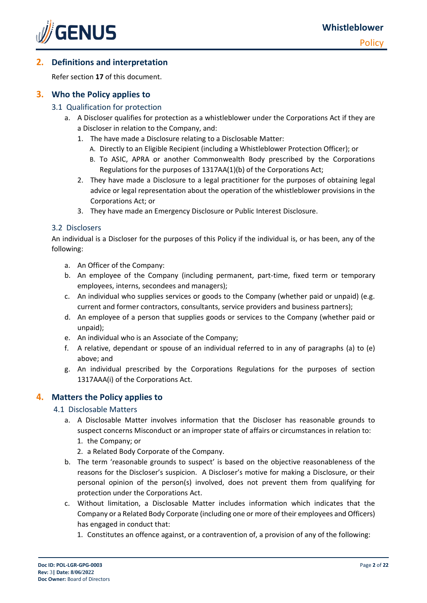

# **2. Definitions and interpretation**

Refer section **17** of this document.

# **3. Who the Policy applies to**

### 3.1 Qualification for protection

- a. A Discloser qualifies for protection as a whistleblower under the Corporations Act if they are a Discloser in relation to the Company, and:
	- 1. The have made a Disclosure relating to a Disclosable Matter:
		- A. Directly to an Eligible Recipient (including a Whistleblower Protection Officer); or
		- B. To ASIC, APRA or another Commonwealth Body prescribed by the Corporations Regulations for the purposes of 1317AA(1)(b) of the Corporations Act;
	- 2. They have made a Disclosure to a legal practitioner for the purposes of obtaining legal advice or legal representation about the operation of the whistleblower provisions in the Corporations Act; or
	- 3. They have made an Emergency Disclosure or Public Interest Disclosure.

#### 3.2 Disclosers

An individual is a Discloser for the purposes of this Policy if the individual is, or has been, any of the following:

- a. An Officer of the Company:
- b. An employee of the Company (including permanent, part-time, fixed term or temporary employees, interns, secondees and managers);
- c. An individual who supplies services or goods to the Company (whether paid or unpaid) (e.g. current and former contractors, consultants, service providers and business partners);
- d. An employee of a person that supplies goods or services to the Company (whether paid or unpaid);
- e. An individual who is an Associate of the Company;
- f. A relative, dependant or spouse of an individual referred to in any of paragraphs (a) to (e) above; and
- g. An individual prescribed by the Corporations Regulations for the purposes of section 1317AAA(i) of the Corporations Act.

# **4. Matters the Policy applies to**

#### 4.1 Disclosable Matters

- a. A Disclosable Matter involves information that the Discloser has reasonable grounds to suspect concerns Misconduct or an improper state of affairs or circumstances in relation to:
	- 1. the Company; or
	- 2. a Related Body Corporate of the Company.
- b. The term 'reasonable grounds to suspect' is based on the objective reasonableness of the reasons for the Discloser's suspicion. A Discloser's motive for making a Disclosure, or their personal opinion of the person(s) involved, does not prevent them from qualifying for protection under the Corporations Act.
- c. Without limitation, a Disclosable Matter includes information which indicates that the Company or a Related Body Corporate (including one or more of their employees and Officers) has engaged in conduct that:
	- 1. Constitutes an offence against, or a contravention of, a provision of any of the following: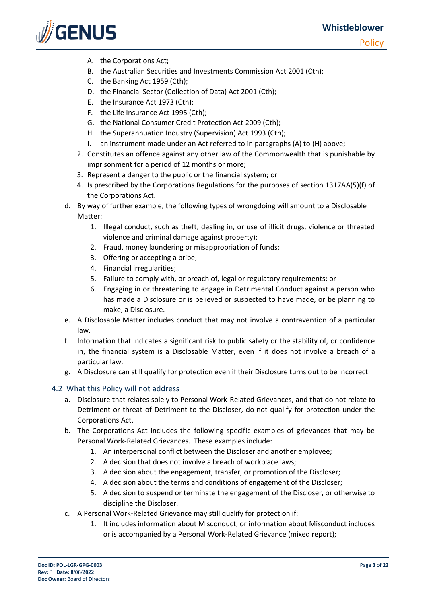**Policy** 



- A. the Corporations Act;
- B. the Australian Securities and Investments Commission Act 2001 (Cth);
- C. the Banking Act 1959 (Cth);
- D. the Financial Sector (Collection of Data) Act 2001 (Cth);
- E. the Insurance Act 1973 (Cth);
- F. the Life Insurance Act 1995 (Cth);
- G. the National Consumer Credit Protection Act 2009 (Cth);
- H. the Superannuation Industry (Supervision) Act 1993 (Cth);
- I. an instrument made under an Act referred to in paragraphs (A) to (H) above;
- 2. Constitutes an offence against any other law of the Commonwealth that is punishable by imprisonment for a period of 12 months or more;
- 3. Represent a danger to the public or the financial system; or
- 4. Is prescribed by the Corporations Regulations for the purposes of section 1317AA(5)(f) of the Corporations Act.
- d. By way of further example, the following types of wrongdoing will amount to a Disclosable Matter:
	- 1. Illegal conduct, such as theft, dealing in, or use of illicit drugs, violence or threated violence and criminal damage against property);
	- 2. Fraud, money laundering or misappropriation of funds;
	- 3. Offering or accepting a bribe;
	- 4. Financial irregularities;
	- 5. Failure to comply with, or breach of, legal or regulatory requirements; or
	- 6. Engaging in or threatening to engage in Detrimental Conduct against a person who has made a Disclosure or is believed or suspected to have made, or be planning to make, a Disclosure.
- e. A Disclosable Matter includes conduct that may not involve a contravention of a particular law.
- f. Information that indicates a significant risk to public safety or the stability of, or confidence in, the financial system is a Disclosable Matter, even if it does not involve a breach of a particular law.
- g. A Disclosure can still qualify for protection even if their Disclosure turns out to be incorrect.

#### 4.2 What this Policy will not address

- a. Disclosure that relates solely to Personal Work-Related Grievances, and that do not relate to Detriment or threat of Detriment to the Discloser, do not qualify for protection under the Corporations Act.
- b. The Corporations Act includes the following specific examples of grievances that may be Personal Work-Related Grievances. These examples include:
	- 1. An interpersonal conflict between the Discloser and another employee;
	- 2. A decision that does not involve a breach of workplace laws;
	- 3. A decision about the engagement, transfer, or promotion of the Discloser;
	- 4. A decision about the terms and conditions of engagement of the Discloser;
	- 5. A decision to suspend or terminate the engagement of the Discloser, or otherwise to discipline the Discloser.
- c. A Personal Work-Related Grievance may still qualify for protection if:
	- 1. It includes information about Misconduct, or information about Misconduct includes or is accompanied by a Personal Work-Related Grievance (mixed report);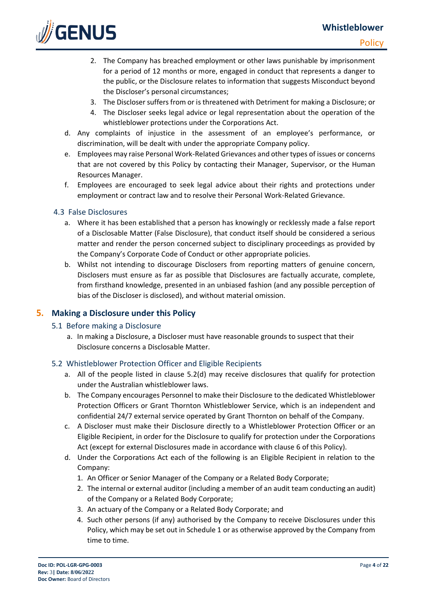# **Whistleblower**



- 2. The Company has breached employment or other laws punishable by imprisonment for a period of 12 months or more, engaged in conduct that represents a danger to the public, or the Disclosure relates to information that suggests Misconduct beyond the Discloser's personal circumstances;
- 3. The Discloser suffers from or is threatened with Detriment for making a Disclosure; or
- 4. The Discloser seeks legal advice or legal representation about the operation of the whistleblower protections under the Corporations Act.
- d. Any complaints of injustice in the assessment of an employee's performance, or discrimination, will be dealt with under the appropriate Company policy.
- e. Employees may raise Personal Work-Related Grievances and other types of issues or concerns that are not covered by this Policy by contacting their Manager, Supervisor, or the Human Resources Manager.
- f. Employees are encouraged to seek legal advice about their rights and protections under employment or contract law and to resolve their Personal Work-Related Grievance.

#### 4.3 False Disclosures

**SENUS** 

- a. Where it has been established that a person has knowingly or recklessly made a false report of a Disclosable Matter (False Disclosure), that conduct itself should be considered a serious matter and render the person concerned subject to disciplinary proceedings as provided by the Company's Corporate Code of Conduct or other appropriate policies.
- b. Whilst not intending to discourage Disclosers from reporting matters of genuine concern, Disclosers must ensure as far as possible that Disclosures are factually accurate, complete, from firsthand knowledge, presented in an unbiased fashion (and any possible perception of bias of the Discloser is disclosed), and without material omission.

#### **5. Making a Disclosure under this Policy**

- 5.1 Before making a Disclosure
	- a. In making a Disclosure, a Discloser must have reasonable grounds to suspect that their Disclosure concerns a Disclosable Matter.

#### 5.2 Whistleblower Protection Officer and Eligible Recipients

- a. All of the people listed in clause 5.2(d) may receive disclosures that qualify for protection under the Australian whistleblower laws.
- b. The Company encourages Personnel to make their Disclosure to the dedicated Whistleblower Protection Officers or Grant Thornton Whistleblower Service, which is an independent and confidential 24/7 external service operated by Grant Thornton on behalf of the Company.
- c. A Discloser must make their Disclosure directly to a Whistleblower Protection Officer or an Eligible Recipient, in order for the Disclosure to qualify for protection under the Corporations Act (except for external Disclosures made in accordance with clause 6 of this Policy).
- d. Under the Corporations Act each of the following is an Eligible Recipient in relation to the Company:
	- 1. An Officer or Senior Manager of the Company or a Related Body Corporate;
	- 2. The internal or external auditor (including a member of an audit team conducting an audit) of the Company or a Related Body Corporate;
	- 3. An actuary of the Company or a Related Body Corporate; and
	- 4. Such other persons (if any) authorised by the Company to receive Disclosures under this Policy, which may be set out in Schedule 1 or as otherwise approved by the Company from time to time.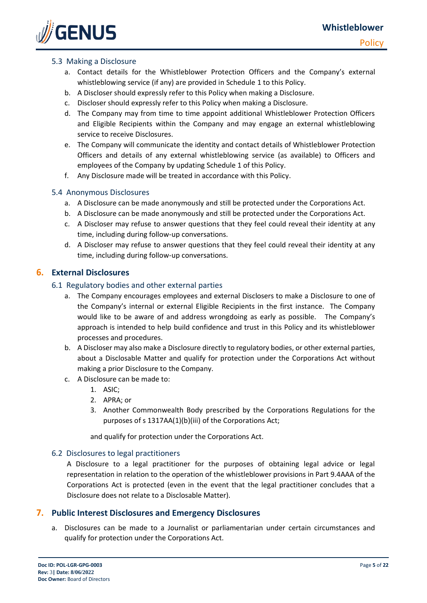

#### 5.3 Making a Disclosure

- a. Contact details for the Whistleblower Protection Officers and the Company's external whistleblowing service (if any) are provided in Schedule 1 to this Policy.
- b. A Discloser should expressly refer to this Policy when making a Disclosure.
- c. Discloser should expressly refer to this Policy when making a Disclosure.
- d. The Company may from time to time appoint additional Whistleblower Protection Officers and Eligible Recipients within the Company and may engage an external whistleblowing service to receive Disclosures.
- e. The Company will communicate the identity and contact details of Whistleblower Protection Officers and details of any external whistleblowing service (as available) to Officers and employees of the Company by updating Schedule 1 of this Policy.
- f. Any Disclosure made will be treated in accordance with this Policy.

#### 5.4 Anonymous Disclosures

- a. A Disclosure can be made anonymously and still be protected under the Corporations Act.
- b. A Disclosure can be made anonymously and still be protected under the Corporations Act.
- c. A Discloser may refuse to answer questions that they feel could reveal their identity at any time, including during follow-up conversations.
- d. A Discloser may refuse to answer questions that they feel could reveal their identity at any time, including during follow-up conversations.

#### **6. External Disclosures**

#### 6.1 Regulatory bodies and other external parties

- a. The Company encourages employees and external Disclosers to make a Disclosure to one of the Company's internal or external Eligible Recipients in the first instance. The Company would like to be aware of and address wrongdoing as early as possible. The Company's approach is intended to help build confidence and trust in this Policy and its whistleblower processes and procedures.
- b. A Discloser may also make a Disclosure directly to regulatory bodies, or other external parties, about a Disclosable Matter and qualify for protection under the Corporations Act without making a prior Disclosure to the Company.
- c. A Disclosure can be made to:
	- 1. ASIC;
	- 2. APRA; or
	- 3. Another Commonwealth Body prescribed by the Corporations Regulations for the purposes of s 1317AA(1)(b)(iii) of the Corporations Act;

and qualify for protection under the Corporations Act.

#### 6.2 Disclosures to legal practitioners

A Disclosure to a legal practitioner for the purposes of obtaining legal advice or legal representation in relation to the operation of the whistleblower provisions in Part 9.4AAA of the Corporations Act is protected (even in the event that the legal practitioner concludes that a Disclosure does not relate to a Disclosable Matter).

#### **7. Public Interest Disclosures and Emergency Disclosures**

a. Disclosures can be made to a Journalist or parliamentarian under certain circumstances and qualify for protection under the Corporations Act.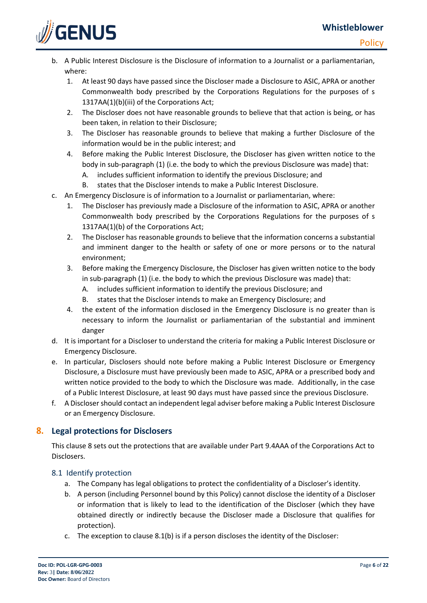

- b. A Public Interest Disclosure is the Disclosure of information to a Journalist or a parliamentarian, where:
	- 1. At least 90 days have passed since the Discloser made a Disclosure to ASIC, APRA or another Commonwealth body prescribed by the Corporations Regulations for the purposes of s 1317AA(1)(b)(iii) of the Corporations Act;
	- 2. The Discloser does not have reasonable grounds to believe that that action is being, or has been taken, in relation to their Disclosure;
	- 3. The Discloser has reasonable grounds to believe that making a further Disclosure of the information would be in the public interest; and
	- 4. Before making the Public Interest Disclosure, the Discloser has given written notice to the body in sub-paragraph (1) (i.e. the body to which the previous Disclosure was made) that:
		- A. includes sufficient information to identify the previous Disclosure; and
		- B. states that the Discloser intends to make a Public Interest Disclosure.
- c. An Emergency Disclosure is of information to a Journalist or parliamentarian, where:
	- 1. The Discloser has previously made a Disclosure of the information to ASIC, APRA or another Commonwealth body prescribed by the Corporations Regulations for the purposes of s 1317AA(1)(b) of the Corporations Act;
	- 2. The Discloser has reasonable grounds to believe that the information concerns a substantial and imminent danger to the health or safety of one or more persons or to the natural environment;
	- 3. Before making the Emergency Disclosure, the Discloser has given written notice to the body in sub-paragraph (1) (i.e. the body to which the previous Disclosure was made) that:
		- A. includes sufficient information to identify the previous Disclosure; and
		- B. states that the Discloser intends to make an Emergency Disclosure; and
	- 4. the extent of the information disclosed in the Emergency Disclosure is no greater than is necessary to inform the Journalist or parliamentarian of the substantial and imminent danger
- d. It is important for a Discloser to understand the criteria for making a Public Interest Disclosure or Emergency Disclosure.
- e. In particular, Disclosers should note before making a Public Interest Disclosure or Emergency Disclosure, a Disclosure must have previously been made to ASIC, APRA or a prescribed body and written notice provided to the body to which the Disclosure was made. Additionally, in the case of a Public Interest Disclosure, at least 90 days must have passed since the previous Disclosure.
- f. A Discloser should contact an independent legal adviser before making a Public Interest Disclosure or an Emergency Disclosure.

# **8. Legal protections for Disclosers**

This clause 8 sets out the protections that are available under Part 9.4AAA of the Corporations Act to Disclosers.

# 8.1 Identify protection

- a. The Company has legal obligations to protect the confidentiality of a Discloser's identity.
- b. A person (including Personnel bound by this Policy) cannot disclose the identity of a Discloser or information that is likely to lead to the identification of the Discloser (which they have obtained directly or indirectly because the Discloser made a Disclosure that qualifies for protection).
- c. The exception to clause 8.1(b) is if a person discloses the identity of the Discloser: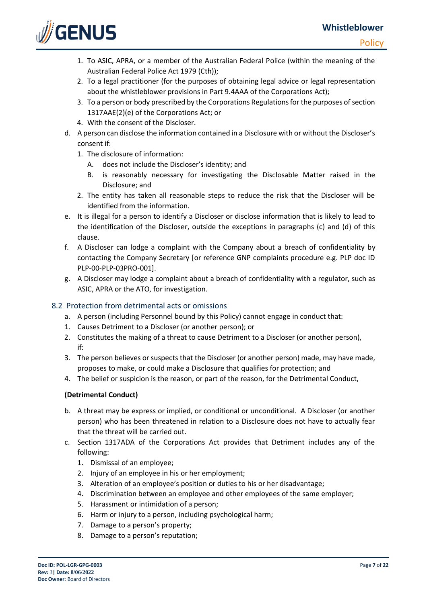

- 1. To ASIC, APRA, or a member of the Australian Federal Police (within the meaning of the Australian Federal Police Act 1979 (Cth));
- 2. To a legal practitioner (for the purposes of obtaining legal advice or legal representation about the whistleblower provisions in Part 9.4AAA of the Corporations Act);
- 3. To a person or body prescribed by the Corporations Regulations for the purposes of section 1317AAE(2)(e) of the Corporations Act; or
- 4. With the consent of the Discloser.
- d. A person can disclose the information contained in a Disclosure with or without the Discloser's consent if:
	- 1. The disclosure of information:
		- A. does not include the Discloser's identity; and
		- B. is reasonably necessary for investigating the Disclosable Matter raised in the Disclosure; and
	- 2. The entity has taken all reasonable steps to reduce the risk that the Discloser will be identified from the information.
- e. It is illegal for a person to identify a Discloser or disclose information that is likely to lead to the identification of the Discloser, outside the exceptions in paragraphs (c) and (d) of this clause.
- f. A Discloser can lodge a complaint with the Company about a breach of confidentiality by contacting the Company Secretary [or reference GNP complaints procedure e.g. PLP doc ID PLP-00-PLP-03PRO-001].
- g. A Discloser may lodge a complaint about a breach of confidentiality with a regulator, such as ASIC, APRA or the ATO, for investigation.

## 8.2 Protection from detrimental acts or omissions

- a. A person (including Personnel bound by this Policy) cannot engage in conduct that:
- 1. Causes Detriment to a Discloser (or another person); or
- 2. Constitutes the making of a threat to cause Detriment to a Discloser (or another person), if:
- 3. The person believes or suspects that the Discloser (or another person) made, may have made, proposes to make, or could make a Disclosure that qualifies for protection; and
- 4. The belief or suspicion is the reason, or part of the reason, for the Detrimental Conduct,

#### **(Detrimental Conduct)**

- b. A threat may be express or implied, or conditional or unconditional. A Discloser (or another person) who has been threatened in relation to a Disclosure does not have to actually fear that the threat will be carried out.
- c. Section 1317ADA of the Corporations Act provides that Detriment includes any of the following:
	- 1. Dismissal of an employee;
	- 2. Injury of an employee in his or her employment;
	- 3. Alteration of an employee's position or duties to his or her disadvantage;
	- 4. Discrimination between an employee and other employees of the same employer;
	- 5. Harassment or intimidation of a person;
	- 6. Harm or injury to a person, including psychological harm;
	- 7. Damage to a person's property;
	- 8. Damage to a person's reputation;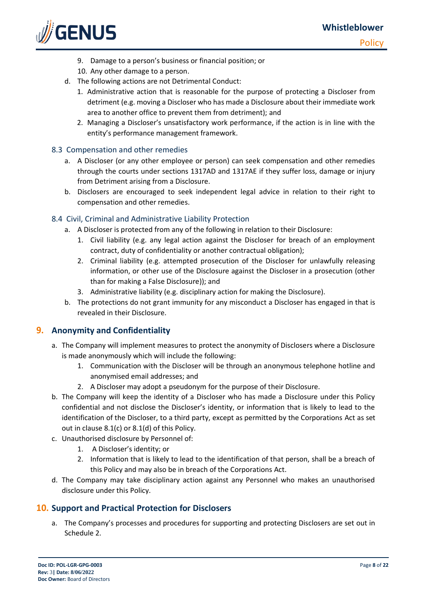

**Policy** 

- 9. Damage to a person's business or financial position; or
- 10. Any other damage to a person.
- d. The following actions are not Detrimental Conduct:
	- 1. Administrative action that is reasonable for the purpose of protecting a Discloser from detriment (e.g. moving a Discloser who has made a Disclosure about their immediate work area to another office to prevent them from detriment); and
	- 2. Managing a Discloser's unsatisfactory work performance, if the action is in line with the entity's performance management framework.

#### 8.3 Compensation and other remedies

- a. A Discloser (or any other employee or person) can seek compensation and other remedies through the courts under sections 1317AD and 1317AE if they suffer loss, damage or injury from Detriment arising from a Disclosure.
- b. Disclosers are encouraged to seek independent legal advice in relation to their right to compensation and other remedies.

#### 8.4 Civil, Criminal and Administrative Liability Protection

- a. A Discloser is protected from any of the following in relation to their Disclosure:
	- 1. Civil liability (e.g. any legal action against the Discloser for breach of an employment contract, duty of confidentiality or another contractual obligation);
	- 2. Criminal liability (e.g. attempted prosecution of the Discloser for unlawfully releasing information, or other use of the Disclosure against the Discloser in a prosecution (other than for making a False Disclosure)); and
	- 3. Administrative liability (e.g. disciplinary action for making the Disclosure).
- b. The protections do not grant immunity for any misconduct a Discloser has engaged in that is revealed in their Disclosure.

#### **9. Anonymity and Confidentiality**

- a. The Company will implement measures to protect the anonymity of Disclosers where a Disclosure is made anonymously which will include the following:
	- 1. Communication with the Discloser will be through an anonymous telephone hotline and anonymised email addresses; and
	- 2. A Discloser may adopt a pseudonym for the purpose of their Disclosure.
- b. The Company will keep the identity of a Discloser who has made a Disclosure under this Policy confidential and not disclose the Discloser's identity, or information that is likely to lead to the identification of the Discloser, to a third party, except as permitted by the Corporations Act as set out in clause 8.1(c) or 8.1(d) of this Policy.
- c. Unauthorised disclosure by Personnel of:
	- 1. A Discloser's identity; or
	- 2. Information that is likely to lead to the identification of that person, shall be a breach of this Policy and may also be in breach of the Corporations Act.
- d. The Company may take disciplinary action against any Personnel who makes an unauthorised disclosure under this Policy.

#### **10. Support and Practical Protection for Disclosers**

a. The Company's processes and procedures for supporting and protecting Disclosers are set out in Schedule 2.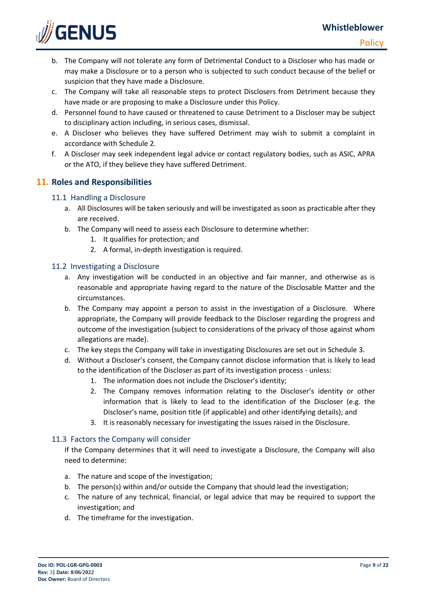

- b. The Company will not tolerate any form of Detrimental Conduct to a Discloser who has made or may make a Disclosure or to a person who is subjected to such conduct because of the belief or suspicion that they have made a Disclosure.
- c. The Company will take all reasonable steps to protect Disclosers from Detriment because they have made or are proposing to make a Disclosure under this Policy.
- d. Personnel found to have caused or threatened to cause Detriment to a Discloser may be subject to disciplinary action including, in serious cases, dismissal.
- e. A Discloser who believes they have suffered Detriment may wish to submit a complaint in accordance with Schedule 2.
- f. A Discloser may seek independent legal advice or contact regulatory bodies, such as ASIC, APRA or the ATO, if they believe they have suffered Detriment.

# **11. Roles and Responsibilities**

## 11.1 Handling a Disclosure

- a. All Disclosures will be taken seriously and will be investigated as soon as practicable after they are received.
- b. The Company will need to assess each Disclosure to determine whether:
	- 1. It qualifies for protection; and
	- 2. A formal, in-depth investigation is required.

## 11.2 Investigating a Disclosure

- a. Any investigation will be conducted in an objective and fair manner, and otherwise as is reasonable and appropriate having regard to the nature of the Disclosable Matter and the circumstances.
- b. The Company may appoint a person to assist in the investigation of a Disclosure. Where appropriate, the Company will provide feedback to the Discloser regarding the progress and outcome of the investigation (subject to considerations of the privacy of those against whom allegations are made).
- c. The key steps the Company will take in investigating Disclosures are set out in Schedule 3.
- d. Without a Discloser's consent, the Company cannot disclose information that is likely to lead to the identification of the Discloser as part of its investigation process - unless:
	- 1. The information does not include the Discloser's identity;
	- 2. The Company removes information relating to the Discloser's identity or other information that is likely to lead to the identification of the Discloser (e.g. the Discloser's name, position title (if applicable) and other identifying details); and
	- 3. It is reasonably necessary for investigating the issues raised in the Disclosure.

#### 11.3 Factors the Company will consider

If the Company determines that it will need to investigate a Disclosure, the Company will also need to determine:

- a. The nature and scope of the investigation;
- b. The person(s) within and/or outside the Company that should lead the investigation;
- c. The nature of any technical, financial, or legal advice that may be required to support the investigation; and
- d. The timeframe for the investigation.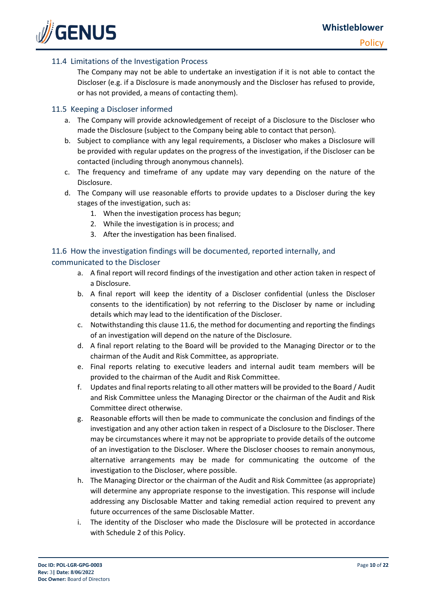

#### 11.4 Limitations of the Investigation Process

The Company may not be able to undertake an investigation if it is not able to contact the Discloser (e.g. if a Disclosure is made anonymously and the Discloser has refused to provide, or has not provided, a means of contacting them).

#### 11.5 Keeping a Discloser informed

- a. The Company will provide acknowledgement of receipt of a Disclosure to the Discloser who made the Disclosure (subject to the Company being able to contact that person).
- b. Subject to compliance with any legal requirements, a Discloser who makes a Disclosure will be provided with regular updates on the progress of the investigation, if the Discloser can be contacted (including through anonymous channels).
- c. The frequency and timeframe of any update may vary depending on the nature of the Disclosure.
- d. The Company will use reasonable efforts to provide updates to a Discloser during the key stages of the investigation, such as:
	- 1. When the investigation process has begun;
	- 2. While the investigation is in process; and
	- 3. After the investigation has been finalised.

### 11.6 How the investigation findings will be documented, reported internally, and communicated to the Discloser

# a. A final report will record findings of the investigation and other action taken in respect of a Disclosure.

- b. A final report will keep the identity of a Discloser confidential (unless the Discloser consents to the identification) by not referring to the Discloser by name or including details which may lead to the identification of the Discloser.
- c. Notwithstanding this clause 11.6, the method for documenting and reporting the findings of an investigation will depend on the nature of the Disclosure.
- d. A final report relating to the Board will be provided to the Managing Director or to the chairman of the Audit and Risk Committee, as appropriate.
- e. Final reports relating to executive leaders and internal audit team members will be provided to the chairman of the Audit and Risk Committee.
- f. Updates and final reports relating to all other matters will be provided to the Board / Audit and Risk Committee unless the Managing Director or the chairman of the Audit and Risk Committee direct otherwise.
- g. Reasonable efforts will then be made to communicate the conclusion and findings of the investigation and any other action taken in respect of a Disclosure to the Discloser. There may be circumstances where it may not be appropriate to provide details of the outcome of an investigation to the Discloser. Where the Discloser chooses to remain anonymous, alternative arrangements may be made for communicating the outcome of the investigation to the Discloser, where possible.
- h. The Managing Director or the chairman of the Audit and Risk Committee (as appropriate) will determine any appropriate response to the investigation. This response will include addressing any Disclosable Matter and taking remedial action required to prevent any future occurrences of the same Disclosable Matter.
- i. The identity of the Discloser who made the Disclosure will be protected in accordance with Schedule 2 of this Policy.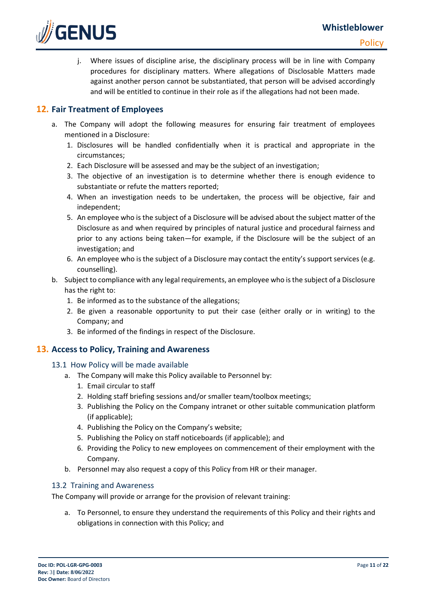

j. Where issues of discipline arise, the disciplinary process will be in line with Company procedures for disciplinary matters. Where allegations of Disclosable Matters made against another person cannot be substantiated, that person will be advised accordingly and will be entitled to continue in their role as if the allegations had not been made.

# **12. Fair Treatment of Employees**

- a. The Company will adopt the following measures for ensuring fair treatment of employees mentioned in a Disclosure:
	- 1. Disclosures will be handled confidentially when it is practical and appropriate in the circumstances;
	- 2. Each Disclosure will be assessed and may be the subject of an investigation;
	- 3. The objective of an investigation is to determine whether there is enough evidence to substantiate or refute the matters reported;
	- 4. When an investigation needs to be undertaken, the process will be objective, fair and independent;
	- 5. An employee who is the subject of a Disclosure will be advised about the subject matter of the Disclosure as and when required by principles of natural justice and procedural fairness and prior to any actions being taken—for example, if the Disclosure will be the subject of an investigation; and
	- 6. An employee who is the subject of a Disclosure may contact the entity's support services (e.g. counselling).
- b. Subject to compliance with any legal requirements, an employee who is the subject of a Disclosure has the right to:
	- 1. Be informed as to the substance of the allegations;
	- 2. Be given a reasonable opportunity to put their case (either orally or in writing) to the Company; and
	- 3. Be informed of the findings in respect of the Disclosure.

#### **13. Access to Policy, Training and Awareness**

- 13.1 How Policy will be made available
	- a. The Company will make this Policy available to Personnel by:
		- 1. Email circular to staff
		- 2. Holding staff briefing sessions and/or smaller team/toolbox meetings;
		- 3. Publishing the Policy on the Company intranet or other suitable communication platform (if applicable);
		- 4. Publishing the Policy on the Company's website;
		- 5. Publishing the Policy on staff noticeboards (if applicable); and
		- 6. Providing the Policy to new employees on commencement of their employment with the Company.
	- b. Personnel may also request a copy of this Policy from HR or their manager.

#### 13.2 Training and Awareness

The Company will provide or arrange for the provision of relevant training:

a. To Personnel, to ensure they understand the requirements of this Policy and their rights and obligations in connection with this Policy; and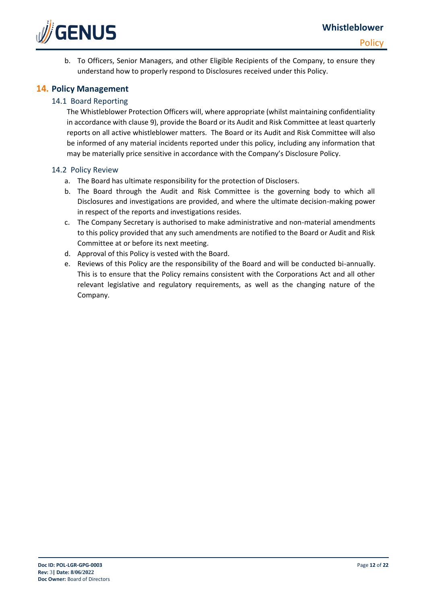

b. To Officers, Senior Managers, and other Eligible Recipients of the Company, to ensure they understand how to properly respond to Disclosures received under this Policy.

## **14. Policy Management**

### 14.1 Board Reporting

The Whistleblower Protection Officers will, where appropriate (whilst maintaining confidentiality in accordance with clause 9), provide the Board or its Audit and Risk Committee at least quarterly reports on all active whistleblower matters. The Board or its Audit and Risk Committee will also be informed of any material incidents reported under this policy, including any information that may be materially price sensitive in accordance with the Company's Disclosure Policy.

#### 14.2 Policy Review

- a. The Board has ultimate responsibility for the protection of Disclosers.
- b. The Board through the Audit and Risk Committee is the governing body to which all Disclosures and investigations are provided, and where the ultimate decision-making power in respect of the reports and investigations resides.
- c. The Company Secretary is authorised to make administrative and non-material amendments to this policy provided that any such amendments are notified to the Board or Audit and Risk Committee at or before its next meeting.
- d. Approval of this Policy is vested with the Board.
- e. Reviews of this Policy are the responsibility of the Board and will be conducted bi-annually. This is to ensure that the Policy remains consistent with the Corporations Act and all other relevant legislative and regulatory requirements, as well as the changing nature of the Company.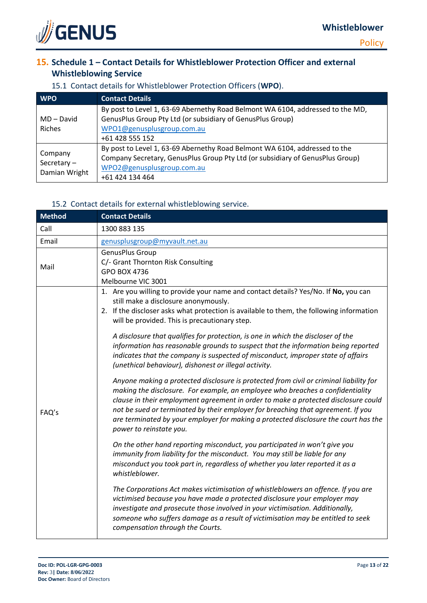

# **15. Schedule 1 – Contact Details for Whistleblower Protection Officer and external Whistleblowing Service**

| <b>WPO</b>                                | <b>Contact Details</b>                                                                                                                                                                                       |  |  |  |
|-------------------------------------------|--------------------------------------------------------------------------------------------------------------------------------------------------------------------------------------------------------------|--|--|--|
| MD – David<br><b>Riches</b>               | By post to Level 1, 63-69 Abernethy Road Belmont WA 6104, addressed to the MD,<br>GenusPlus Group Pty Ltd (or subsidiary of GenusPlus Group)<br>WPO1@genusplusgroup.com.au<br>+61 428 555 152                |  |  |  |
| Company<br>Secretary $-$<br>Damian Wright | By post to Level 1, 63-69 Abernethy Road Belmont WA 6104, addressed to the<br>Company Secretary, GenusPlus Group Pty Ltd (or subsidiary of GenusPlus Group)<br>WPO2@genusplusgroup.com.au<br>+61 424 134 464 |  |  |  |

# 15.1 Contact details for Whistleblower Protection Officers (**WPO**).

#### 15.2 Contact details for external whistleblowing service.

| <b>Method</b> | <b>Contact Details</b>                                                                                                                                                                                                                                                                                                                                                                                                                                               |  |  |  |
|---------------|----------------------------------------------------------------------------------------------------------------------------------------------------------------------------------------------------------------------------------------------------------------------------------------------------------------------------------------------------------------------------------------------------------------------------------------------------------------------|--|--|--|
| Call          | 1300 883 135                                                                                                                                                                                                                                                                                                                                                                                                                                                         |  |  |  |
| Email         | genusplusgroup@myvault.net.au                                                                                                                                                                                                                                                                                                                                                                                                                                        |  |  |  |
| Mail          | GenusPlus Group<br>C/- Grant Thornton Risk Consulting<br><b>GPO BOX 4736</b><br>Melbourne VIC 3001                                                                                                                                                                                                                                                                                                                                                                   |  |  |  |
| FAQ's         | 1. Are you willing to provide your name and contact details? Yes/No. If No, you can<br>still make a disclosure anonymously.<br>2. If the discloser asks what protection is available to them, the following information<br>will be provided. This is precautionary step.                                                                                                                                                                                             |  |  |  |
|               | A disclosure that qualifies for protection, is one in which the discloser of the<br>information has reasonable grounds to suspect that the information being reported<br>indicates that the company is suspected of misconduct, improper state of affairs<br>(unethical behaviour), dishonest or illegal activity.                                                                                                                                                   |  |  |  |
|               | Anyone making a protected disclosure is protected from civil or criminal liability for<br>making the disclosure. For example, an employee who breaches a confidentiality<br>clause in their employment agreement in order to make a protected disclosure could<br>not be sued or terminated by their employer for breaching that agreement. If you<br>are terminated by your employer for making a protected disclosure the court has the<br>power to reinstate you. |  |  |  |
|               | On the other hand reporting misconduct, you participated in won't give you<br>immunity from liability for the misconduct. You may still be liable for any<br>misconduct you took part in, regardless of whether you later reported it as a<br>whistleblower.                                                                                                                                                                                                         |  |  |  |
|               | The Corporations Act makes victimisation of whistleblowers an offence. If you are<br>victimised because you have made a protected disclosure your employer may<br>investigate and prosecute those involved in your victimisation. Additionally,<br>someone who suffers damage as a result of victimisation may be entitled to seek<br>compensation through the Courts.                                                                                               |  |  |  |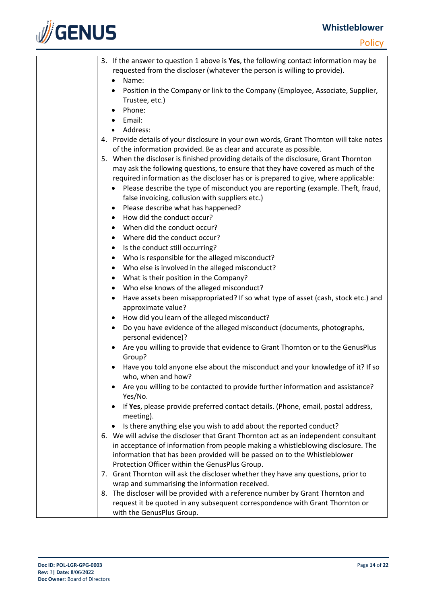# **Whistleblower**



| 3. If the answer to question 1 above is Yes, the following contact information may be<br>requested from the discloser (whatever the person is willing to provide). |
|--------------------------------------------------------------------------------------------------------------------------------------------------------------------|
| Name:                                                                                                                                                              |
| Position in the Company or link to the Company (Employee, Associate, Supplier,<br>$\bullet$<br>Trustee, etc.)                                                      |
| Phone:                                                                                                                                                             |
| Email:                                                                                                                                                             |
| Address:                                                                                                                                                           |
| 4. Provide details of your disclosure in your own words, Grant Thornton will take notes                                                                            |
| of the information provided. Be as clear and accurate as possible.                                                                                                 |
| 5. When the discloser is finished providing details of the disclosure, Grant Thornton                                                                              |
| may ask the following questions, to ensure that they have covered as much of the                                                                                   |
| required information as the discloser has or is prepared to give, where applicable:                                                                                |
| Please describe the type of misconduct you are reporting (example. Theft, fraud,                                                                                   |
| false invoicing, collusion with suppliers etc.)                                                                                                                    |
| Please describe what has happened?<br>٠                                                                                                                            |
| How did the conduct occur?<br>$\bullet$                                                                                                                            |
| When did the conduct occur?<br>$\bullet$                                                                                                                           |
| • Where did the conduct occur?                                                                                                                                     |
| Is the conduct still occurring?<br>$\bullet$                                                                                                                       |
| Who is responsible for the alleged misconduct?<br>$\bullet$                                                                                                        |
| Who else is involved in the alleged misconduct?<br>$\bullet$                                                                                                       |
| What is their position in the Company?<br>$\bullet$                                                                                                                |
| Who else knows of the alleged misconduct?<br>$\bullet$                                                                                                             |
| Have assets been misappropriated? If so what type of asset (cash, stock etc.) and<br>$\bullet$<br>approximate value?                                               |
| How did you learn of the alleged misconduct?<br>$\bullet$                                                                                                          |
| Do you have evidence of the alleged misconduct (documents, photographs,<br>$\bullet$<br>personal evidence)?                                                        |
| Are you willing to provide that evidence to Grant Thornton or to the GenusPlus<br>Group?                                                                           |
| Have you told anyone else about the misconduct and your knowledge of it? If so<br>who, when and how?                                                               |
| Are you willing to be contacted to provide further information and assistance?<br>Yes/No.                                                                          |
| If Yes, please provide preferred contact details. (Phone, email, postal address,<br>meeting).                                                                      |
| Is there anything else you wish to add about the reported conduct?<br>$\bullet$                                                                                    |
| 6. We will advise the discloser that Grant Thornton act as an independent consultant                                                                               |
| in acceptance of information from people making a whistleblowing disclosure. The                                                                                   |
| information that has been provided will be passed on to the Whistleblower                                                                                          |
| Protection Officer within the GenusPlus Group.                                                                                                                     |
| 7. Grant Thornton will ask the discloser whether they have any questions, prior to                                                                                 |
| wrap and summarising the information received.                                                                                                                     |
| The discloser will be provided with a reference number by Grant Thornton and<br>8.                                                                                 |
| request it be quoted in any subsequent correspondence with Grant Thornton or                                                                                       |
| with the GenusPlus Group.                                                                                                                                          |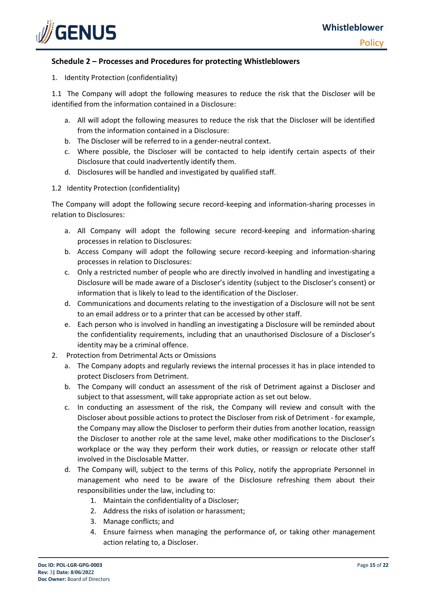

#### **Schedule 2 – Processes and Procedures for protecting Whistleblowers**

1. Identity Protection (confidentiality)

1.1 The Company will adopt the following measures to reduce the risk that the Discloser will be identified from the information contained in a Disclosure:

- a. All will adopt the following measures to reduce the risk that the Discloser will be identified from the information contained in a Disclosure:
- b. The Discloser will be referred to in a gender-neutral context.
- c. Where possible, the Discloser will be contacted to help identify certain aspects of their Disclosure that could inadvertently identify them.
- d. Disclosures will be handled and investigated by qualified staff.
- 1.2 Identity Protection (confidentiality)

The Company will adopt the following secure record-keeping and information-sharing processes in relation to Disclosures:

- a. All Company will adopt the following secure record-keeping and information-sharing processes in relation to Disclosures:
- b. Access Company will adopt the following secure record-keeping and information-sharing processes in relation to Disclosures:
- c. Only a restricted number of people who are directly involved in handling and investigating a Disclosure will be made aware of a Discloser's identity (subject to the Discloser's consent) or information that is likely to lead to the identification of the Discloser.
- d. Communications and documents relating to the investigation of a Disclosure will not be sent to an email address or to a printer that can be accessed by other staff.
- e. Each person who is involved in handling an investigating a Disclosure will be reminded about the confidentiality requirements, including that an unauthorised Disclosure of a Discloser's identity may be a criminal offence.
- 2. Protection from Detrimental Acts or Omissions
	- a. The Company adopts and regularly reviews the internal processes it has in place intended to protect Disclosers from Detriment.
	- b. The Company will conduct an assessment of the risk of Detriment against a Discloser and subject to that assessment, will take appropriate action as set out below.
	- c. In conducting an assessment of the risk, the Company will review and consult with the Discloser about possible actions to protect the Discloser from risk of Detriment - for example, the Company may allow the Discloser to perform their duties from another location, reassign the Discloser to another role at the same level, make other modifications to the Discloser's workplace or the way they perform their work duties, or reassign or relocate other staff involved in the Disclosable Matter.
	- d. The Company will, subject to the terms of this Policy, notify the appropriate Personnel in management who need to be aware of the Disclosure refreshing them about their responsibilities under the law, including to:
		- 1. Maintain the confidentiality of a Discloser;
		- 2. Address the risks of isolation or harassment;
		- 3. Manage conflicts; and
		- 4. Ensure fairness when managing the performance of, or taking other management action relating to, a Discloser.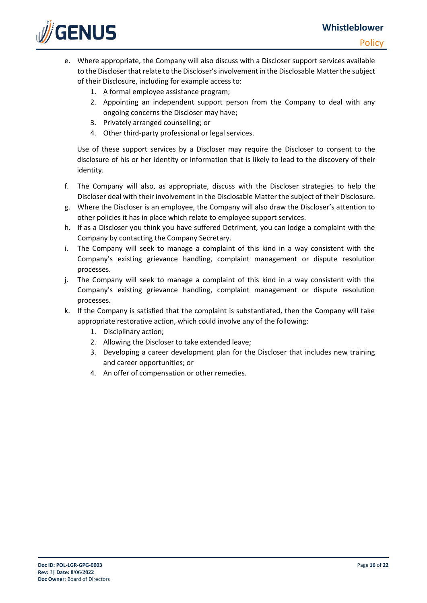

- e. Where appropriate, the Company will also discuss with a Discloser support services available to the Discloser that relate to the Discloser's involvement in the Disclosable Matter the subject of their Disclosure, including for example access to:
	- 1. A formal employee assistance program;
	- 2. Appointing an independent support person from the Company to deal with any ongoing concerns the Discloser may have;
	- 3. Privately arranged counselling; or
	- 4. Other third-party professional or legal services.

Use of these support services by a Discloser may require the Discloser to consent to the disclosure of his or her identity or information that is likely to lead to the discovery of their identity.

- f. The Company will also, as appropriate, discuss with the Discloser strategies to help the Discloser deal with their involvement in the Disclosable Matter the subject of their Disclosure.
- g. Where the Discloser is an employee, the Company will also draw the Discloser's attention to other policies it has in place which relate to employee support services.
- h. If as a Discloser you think you have suffered Detriment, you can lodge a complaint with the Company by contacting the Company Secretary.
- i. The Company will seek to manage a complaint of this kind in a way consistent with the Company's existing grievance handling, complaint management or dispute resolution processes.
- j. The Company will seek to manage a complaint of this kind in a way consistent with the Company's existing grievance handling, complaint management or dispute resolution processes.
- k. If the Company is satisfied that the complaint is substantiated, then the Company will take appropriate restorative action, which could involve any of the following:
	- 1. Disciplinary action;
	- 2. Allowing the Discloser to take extended leave;
	- 3. Developing a career development plan for the Discloser that includes new training and career opportunities; or
	- 4. An offer of compensation or other remedies.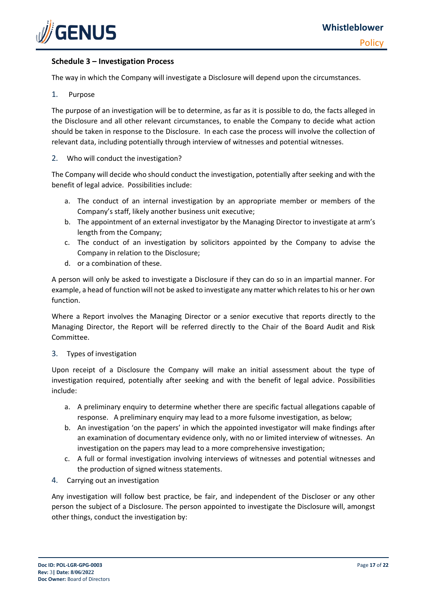

#### **Schedule 3 – Investigation Process**

The way in which the Company will investigate a Disclosure will depend upon the circumstances.

#### 1. Purpose

The purpose of an investigation will be to determine, as far as it is possible to do, the facts alleged in the Disclosure and all other relevant circumstances, to enable the Company to decide what action should be taken in response to the Disclosure. In each case the process will involve the collection of relevant data, including potentially through interview of witnesses and potential witnesses.

#### 2. Who will conduct the investigation?

The Company will decide who should conduct the investigation, potentially after seeking and with the benefit of legal advice. Possibilities include:

- a. The conduct of an internal investigation by an appropriate member or members of the Company's staff, likely another business unit executive;
- b. The appointment of an external investigator by the Managing Director to investigate at arm's length from the Company;
- c. The conduct of an investigation by solicitors appointed by the Company to advise the Company in relation to the Disclosure;
- d. or a combination of these.

A person will only be asked to investigate a Disclosure if they can do so in an impartial manner. For example, a head of function will not be asked to investigate any matter which relates to his or her own function.

Where a Report involves the Managing Director or a senior executive that reports directly to the Managing Director, the Report will be referred directly to the Chair of the Board Audit and Risk Committee.

#### 3. Types of investigation

Upon receipt of a Disclosure the Company will make an initial assessment about the type of investigation required, potentially after seeking and with the benefit of legal advice. Possibilities include:

- a. A preliminary enquiry to determine whether there are specific factual allegations capable of response. A preliminary enquiry may lead to a more fulsome investigation, as below;
- b. An investigation 'on the papers' in which the appointed investigator will make findings after an examination of documentary evidence only, with no or limited interview of witnesses. An investigation on the papers may lead to a more comprehensive investigation;
- c. A full or formal investigation involving interviews of witnesses and potential witnesses and the production of signed witness statements.
- 4. Carrying out an investigation

Any investigation will follow best practice, be fair, and independent of the Discloser or any other person the subject of a Disclosure. The person appointed to investigate the Disclosure will, amongst other things, conduct the investigation by: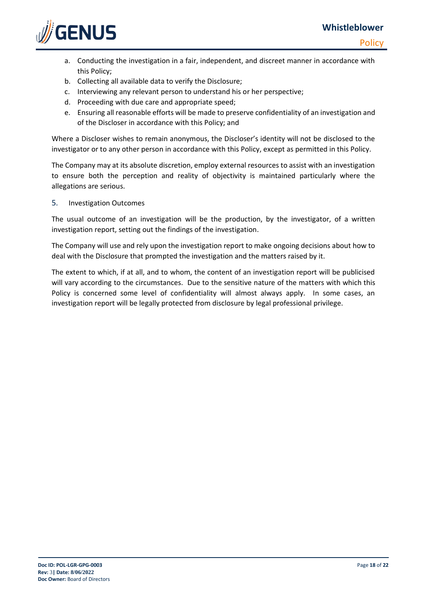# **Whistleblower**

**Policy** 



- a. Conducting the investigation in a fair, independent, and discreet manner in accordance with this Policy;
- b. Collecting all available data to verify the Disclosure;
- c. Interviewing any relevant person to understand his or her perspective;
- d. Proceeding with due care and appropriate speed;
- e. Ensuring all reasonable efforts will be made to preserve confidentiality of an investigation and of the Discloser in accordance with this Policy; and

Where a Discloser wishes to remain anonymous, the Discloser's identity will not be disclosed to the investigator or to any other person in accordance with this Policy, except as permitted in this Policy.

The Company may at its absolute discretion, employ external resources to assist with an investigation to ensure both the perception and reality of objectivity is maintained particularly where the allegations are serious.

5. Investigation Outcomes

The usual outcome of an investigation will be the production, by the investigator, of a written investigation report, setting out the findings of the investigation.

The Company will use and rely upon the investigation report to make ongoing decisions about how to deal with the Disclosure that prompted the investigation and the matters raised by it.

The extent to which, if at all, and to whom, the content of an investigation report will be publicised will vary according to the circumstances. Due to the sensitive nature of the matters with which this Policy is concerned some level of confidentiality will almost always apply. In some cases, an investigation report will be legally protected from disclosure by legal professional privilege.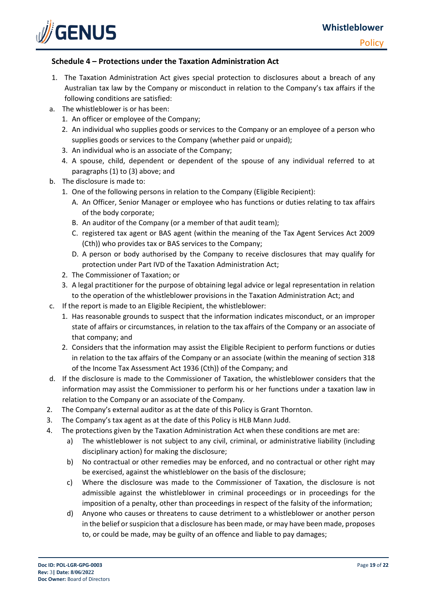

#### **Schedule 4 – Protections under the Taxation Administration Act**

- 1. The Taxation Administration Act gives special protection to disclosures about a breach of any Australian tax law by the Company or misconduct in relation to the Company's tax affairs if the following conditions are satisfied:
- a. The whistleblower is or has been:
	- 1. An officer or employee of the Company;
	- 2. An individual who supplies goods or services to the Company or an employee of a person who supplies goods or services to the Company (whether paid or unpaid);
	- 3. An individual who is an associate of the Company;
	- 4. A spouse, child, dependent or dependent of the spouse of any individual referred to at paragraphs (1) to (3) above; and
- b. The disclosure is made to:
	- 1. One of the following persons in relation to the Company (Eligible Recipient):
		- A. An Officer, Senior Manager or employee who has functions or duties relating to tax affairs of the body corporate;
		- B. An auditor of the Company (or a member of that audit team);
		- C. registered tax agent or BAS agent (within the meaning of the Tax Agent Services Act 2009 (Cth)) who provides tax or BAS services to the Company;
		- D. A person or body authorised by the Company to receive disclosures that may qualify for protection under Part IVD of the Taxation Administration Act;
	- 2. The Commissioner of Taxation; or
	- 3. A legal practitioner for the purpose of obtaining legal advice or legal representation in relation to the operation of the whistleblower provisions in the Taxation Administration Act; and
- c. If the report is made to an Eligible Recipient, the whistleblower:
	- 1. Has reasonable grounds to suspect that the information indicates misconduct, or an improper state of affairs or circumstances, in relation to the tax affairs of the Company or an associate of that company; and
	- 2. Considers that the information may assist the Eligible Recipient to perform functions or duties in relation to the tax affairs of the Company or an associate (within the meaning of section 318 of the Income Tax Assessment Act 1936 (Cth)) of the Company; and
- d. If the disclosure is made to the Commissioner of Taxation, the whistleblower considers that the information may assist the Commissioner to perform his or her functions under a taxation law in relation to the Company or an associate of the Company.
- 2. The Company's external auditor as at the date of this Policy is Grant Thornton.
- 3. The Company's tax agent as at the date of this Policy is HLB Mann Judd.
- 4. The protections given by the Taxation Administration Act when these conditions are met are:
	- a) The whistleblower is not subject to any civil, criminal, or administrative liability (including disciplinary action) for making the disclosure;
	- b) No contractual or other remedies may be enforced, and no contractual or other right may be exercised, against the whistleblower on the basis of the disclosure;
	- c) Where the disclosure was made to the Commissioner of Taxation, the disclosure is not admissible against the whistleblower in criminal proceedings or in proceedings for the imposition of a penalty, other than proceedings in respect of the falsity of the information;
	- d) Anyone who causes or threatens to cause detriment to a whistleblower or another person in the belief or suspicion that a disclosure has been made, or may have been made, proposes to, or could be made, may be guilty of an offence and liable to pay damages;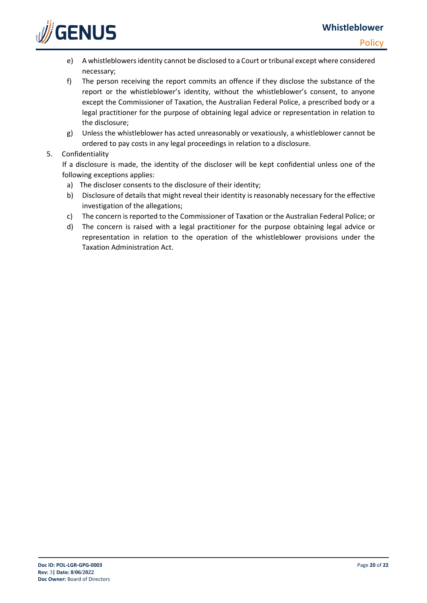

- e) A whistleblowersidentity cannot be disclosed to a Court or tribunal except where considered necessary;
- f) The person receiving the report commits an offence if they disclose the substance of the report or the whistleblower's identity, without the whistleblower's consent, to anyone except the Commissioner of Taxation, the Australian Federal Police, a prescribed body or a legal practitioner for the purpose of obtaining legal advice or representation in relation to the disclosure;
- g) Unless the whistleblower has acted unreasonably or vexatiously, a whistleblower cannot be ordered to pay costs in any legal proceedings in relation to a disclosure.

#### 5. Confidentiality

If a disclosure is made, the identity of the discloser will be kept confidential unless one of the following exceptions applies:

- a) The discloser consents to the disclosure of their identity;
- b) Disclosure of details that might reveal their identity is reasonably necessary for the effective investigation of the allegations;
- c) The concern is reported to the Commissioner of Taxation or the Australian Federal Police; or
- d) The concern is raised with a legal practitioner for the purpose obtaining legal advice or representation in relation to the operation of the whistleblower provisions under the Taxation Administration Act.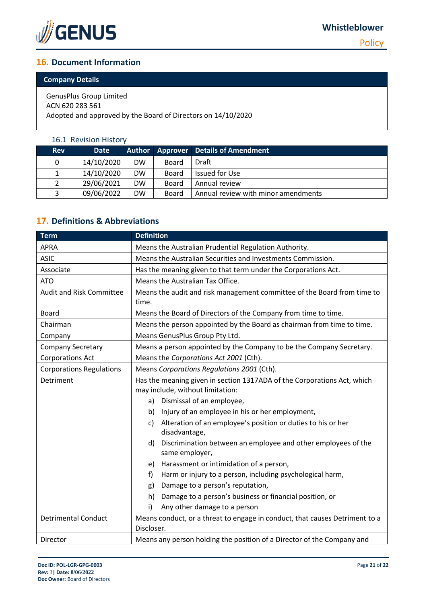

**Policy** 

# **16. Document Information**

### **Company Details**

GenusPlus Group Limited ACN 620 283 561 Adopted and approved by the Board of Directors on 14/10/2020

## 16.1 Revision History

| <b>Rev</b> | <b>Date</b> |           |              | Author Approver Details of Amendment |
|------------|-------------|-----------|--------------|--------------------------------------|
| 0          | 14/10/2020  | <b>DW</b> | Board        | Draft                                |
| 1          | 14/10/2020  | <b>DW</b> | <b>Board</b> | Issued for Use                       |
| 2          | 29/06/2021  | <b>DW</b> | Board        | Annual review                        |
| 3          | 09/06/2022  | <b>DW</b> | <b>Board</b> | Annual review with minor amendments  |

# **17. Definitions & Abbreviations**

| <b>Term</b>                     | <b>Definition</b>                                                                                           |  |  |  |
|---------------------------------|-------------------------------------------------------------------------------------------------------------|--|--|--|
| <b>APRA</b>                     | Means the Australian Prudential Regulation Authority.                                                       |  |  |  |
| <b>ASIC</b>                     | Means the Australian Securities and Investments Commission.                                                 |  |  |  |
| Associate                       | Has the meaning given to that term under the Corporations Act.                                              |  |  |  |
| <b>ATO</b>                      | Means the Australian Tax Office.                                                                            |  |  |  |
| <b>Audit and Risk Committee</b> | Means the audit and risk management committee of the Board from time to<br>time.                            |  |  |  |
| <b>Board</b>                    | Means the Board of Directors of the Company from time to time.                                              |  |  |  |
| Chairman                        | Means the person appointed by the Board as chairman from time to time.                                      |  |  |  |
| Company                         | Means GenusPlus Group Pty Ltd.                                                                              |  |  |  |
| <b>Company Secretary</b>        | Means a person appointed by the Company to be the Company Secretary.                                        |  |  |  |
| <b>Corporations Act</b>         | Means the Corporations Act 2001 (Cth).                                                                      |  |  |  |
| <b>Corporations Regulations</b> | Means Corporations Regulations 2001 (Cth).                                                                  |  |  |  |
| Detriment                       | Has the meaning given in section 1317ADA of the Corporations Act, which<br>may include, without limitation: |  |  |  |
|                                 | Dismissal of an employee,<br>a)                                                                             |  |  |  |
|                                 | Injury of an employee in his or her employment,<br>b)                                                       |  |  |  |
|                                 | Alteration of an employee's position or duties to his or her<br>c)<br>disadvantage,                         |  |  |  |
|                                 | d)<br>Discrimination between an employee and other employees of the<br>same employer,                       |  |  |  |
|                                 | Harassment or intimidation of a person,<br>e)                                                               |  |  |  |
|                                 | Harm or injury to a person, including psychological harm,<br>f)                                             |  |  |  |
|                                 | Damage to a person's reputation,<br>g)                                                                      |  |  |  |
|                                 | Damage to a person's business or financial position, or<br>h)                                               |  |  |  |
|                                 | Any other damage to a person<br>i)                                                                          |  |  |  |
| <b>Detrimental Conduct</b>      | Means conduct, or a threat to engage in conduct, that causes Detriment to a<br>Discloser.                   |  |  |  |
| Director                        | Means any person holding the position of a Director of the Company and                                      |  |  |  |